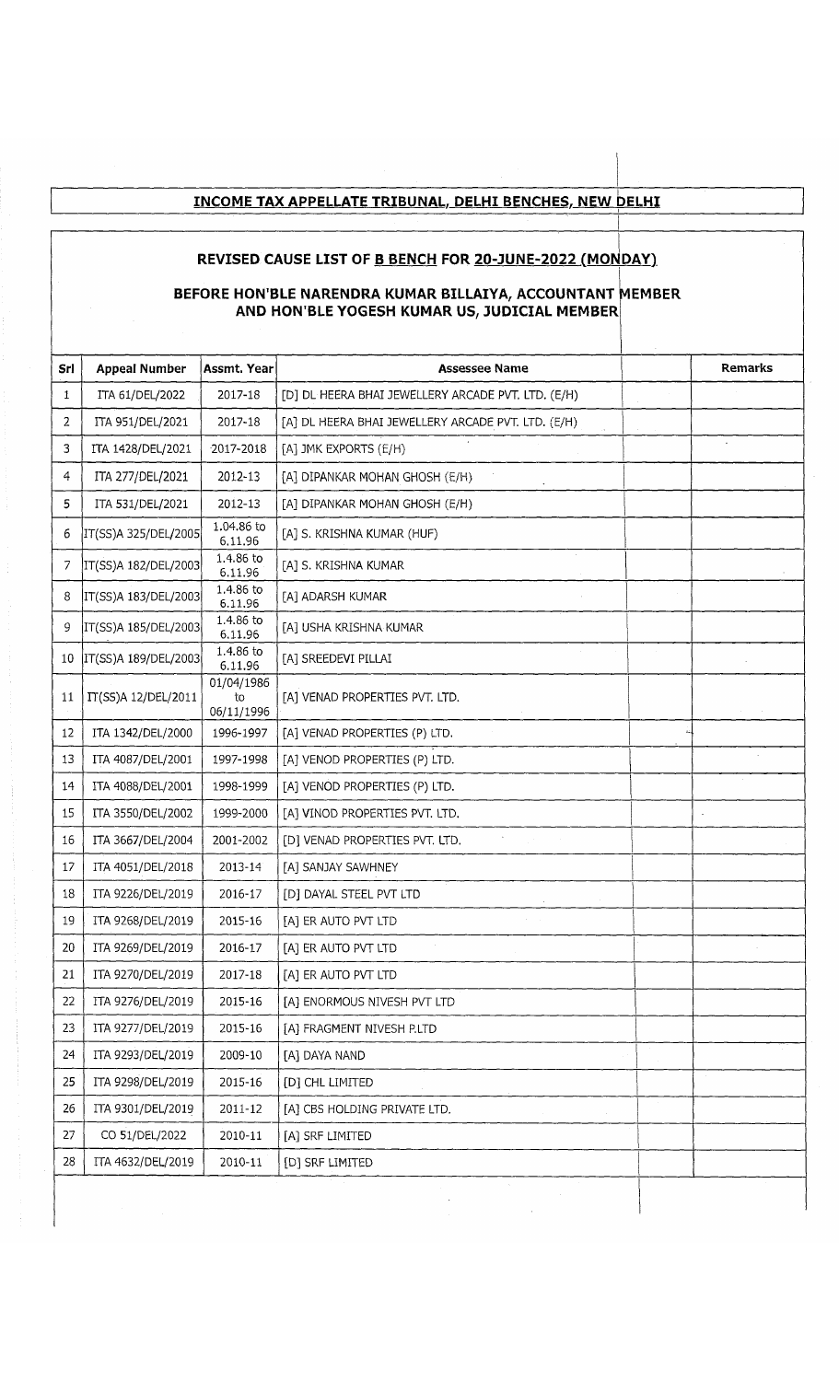## **INCOME TAX APPELLATE TRIBUNAL. DELHI BENCHES. NEW DELHI**

### REVISED CAUSE LIST OF <u>B BENCH</u> FOR <u>20-JUNE-2022 (MONDAY</u>)

#### **BEFORE HON'B AND F LE NARENDRA KUMAR BILLAIYA, ACCOUNTANT M lON'BLE YOGESH KUMAR US, JUDICIAL MEMBER EMBER**

| Srl | <b>Appeal Number</b> | Assmt. Year                    | <b>Assessee Name</b>                               | <b>Remarks</b> |
|-----|----------------------|--------------------------------|----------------------------------------------------|----------------|
| 1   | ITA 61/DEL/2022      | 2017-18                        | [D] DL HEERA BHAI JEWELLERY ARCADE PVT. LTD. (E/H) |                |
| 2   | ITA 951/DEL/2021     | 2017-18                        | [A] DL HEERA BHAI JEWELLERY ARCADE PVT. LTD. (E/H) |                |
| 3   | ITA 1428/DEL/2021    | 2017-2018                      | [A] JMK EXPORTS (E/H)                              |                |
| 4   | ITA 277/DEL/2021     | 2012-13                        | [A] DIPANKAR MOHAN GHOSH (E/H)                     |                |
| 5   | ITA 531/DEL/2021     | 2012-13                        | [A] DIPANKAR MOHAN GHOSH (E/H)                     |                |
| 6   | IT(SS)A 325/DEL/2005 | 1.04.86 to<br>6.11.96          | [A] S. KRISHNA KUMAR (HUF)                         |                |
| 7   | IT(SS)A 182/DEL/2003 | 1.4.86 to<br>6.11.96           | [A] S. KRISHNA KUMAR                               |                |
| 8   | IT(SS)A 183/DEL/2003 | 1.4.86 to<br>6.11.96           | [A] ADARSH KUMAR                                   |                |
| 9   | IT(SS)A 185/DEL/2003 | 1.4.86 to<br>6.11.96           | [A] USHA KRISHNA KUMAR                             |                |
| 10  | IT(SS)A 189/DEL/2003 | 1.4.86 to<br>6.11.96           | [A] SREEDEVI PILLAI                                |                |
| 11  | IT(SS)A 12/DEL/2011  | 01/04/1986<br>to<br>06/11/1996 | [A] VENAD PROPERTIES PVT. LTD.                     |                |
| 12  | ITA 1342/DEL/2000    | 1996-1997                      | [A] VENAD PROPERTIES (P) LTD.                      |                |
| 13  | ITA 4087/DEL/2001    | 1997-1998                      | [A] VENOD PROPERTIES (P) LTD.                      |                |
| 14  | ITA 4088/DEL/2001    | 1998-1999                      | [A] VENOD PROPERTIES (P) LTD.                      |                |
| 15  | ITA 3550/DEL/2002    | 1999-2000                      | [A] VINOD PROPERTIES PVT. LTD.                     |                |
| 16  | ITA 3667/DEL/2004    | 2001-2002                      | [D] VENAD PROPERTIES PVT. LTD.                     |                |
| 17  | ITA 4051/DEL/2018    | 2013-14                        | [A] SANJAY SAWHNEY                                 |                |
| 18  | ITA 9226/DEL/2019    | 2016-17                        | [D] DAYAL STEEL PVT LTD                            |                |
| 19  | ITA 9268/DEL/2019    | 2015-16                        | [A] ER AUTO PVT LTD                                |                |
| 20  | ITA 9269/DEL/2019    | 2016-17                        | [A] ER AUTO PVT LTD                                |                |
| 21  | ITA 9270/DEL/2019    | 2017-18                        | [A] ER AUTO PVT LTD                                |                |
| 22  | ITA 9276/DEL/2019    | 2015-16                        | [A] ENORMOUS NIVESH PVT LTD                        |                |
| 23  | ITA 9277/DEL/2019    | 2015-16                        | [A] FRAGMENT NIVESH P.LTD                          |                |
| 24  | ITA 9293/DEL/2019    | 2009-10                        | [A] DAYA NAND                                      |                |
| 25  | ITA 9298/DEL/2019    | 2015-16                        | [D] CHL LIMITED                                    |                |
| 26  | ITA 9301/DEL/2019    | 2011-12                        | [A] CBS HOLDING PRIVATE LTD.                       |                |
| 27  | CO 51/DEL/2022       | 2010-11                        | [A] SRF LIMITED                                    |                |
| 28  | ITA 4632/DEL/2019    | 2010-11                        | [D] SRF LIMITED                                    |                |
|     |                      |                                |                                                    |                |